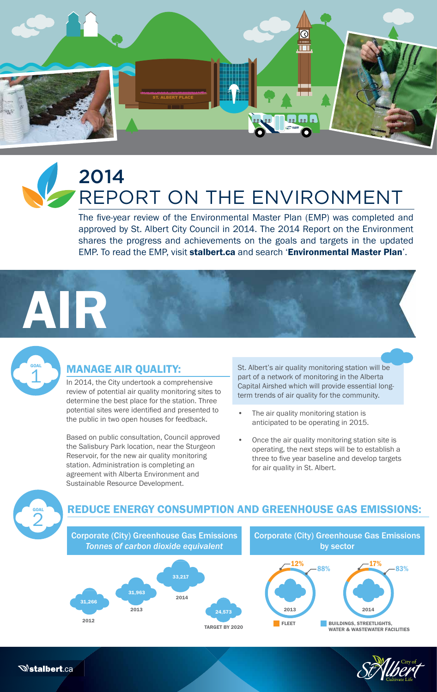

# 2014 REPORT ON THE ENVIRONMENT

The five-year review of the Environmental Master Plan (EMP) was completed and approved by St. Albert City Council in 2014. The 2014 Report on the Environment shares the progress and achievements on the goals and targets in the updated EMP. To read the EMP, visit stalbert.ca and search 'Environmental Master Plan'.

# AIR



# MANAGE AIR QUALITY:

In 2014, the City undertook a comprehensive review of potential air quality monitoring sites to determine the best place for the station. Three potential sites were identified and presented to the public in two open houses for feedback.

Based on public consultation, Council approved the Salisbury Park location, near the Sturgeon Reservoir, for the new air quality monitoring station. Administration is completing an agreement with Alberta Environment and Sustainable Resource Development.

St. Albert's air quality monitoring station will be part of a network of monitoring in the Alberta Capital Airshed which will provide essential longterm trends of air quality for the community.

- The air quality monitoring station is anticipated to be operating in 2015.
- Once the air quality monitoring station site is operating, the next steps will be to establish a three to five year baseline and develop targets for air quality in St. Albert.



*<b>Sialbert.ca* 

# REDUCE ENERGY CONSUMPTION AND GREENHOUSE GAS EMISSIONS:



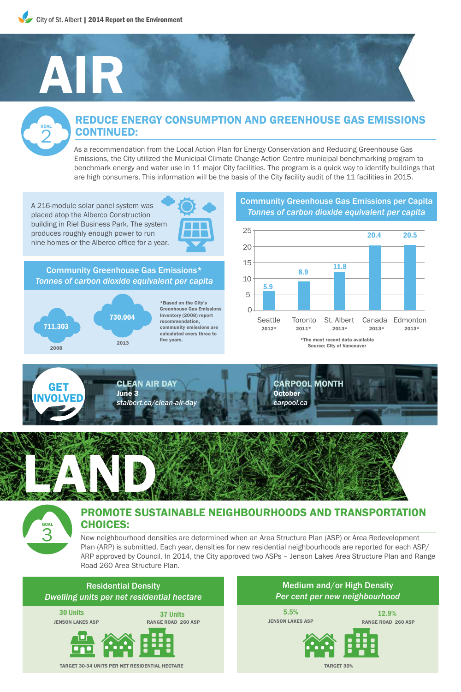# AIR

GOAL 2

## REDUCE ENERGY CONSUMPTION AND GREENHOUSE GAS EMISSIONS CONTINUED:

As a recommendation from the Local Action Plan for Energy Conservation and Reducing Greenhouse Gas Emissions, the City utilized the Municipal Climate Change Action Centre municipal benchmarking program to benchmark energy and water use in 11 major City facilities. The program is a quick way to identify buildings that are high consumers. This information will be the basis of the City facility audit of the 11 facilities in 2015.

A 216-module solar panel system was placed atop the Alberco Construction building in Riel Business Park. The system produces roughly enough power to run nine homes or the Alberco office for a year.



Community Greenhouse Gas Emissions\* *Tonnes of carbon dioxide equivalent per capita*



\*Based on the City's Greenhouse Gas Emissions Inventory (2008) report recommendation, community emissions are calculated every three to five years.

#### Community Greenhouse Gas Emissions per Capita *Tonnes of carbon dioxide equivalent per capita*









## PROMOTE SUSTAINABLE NEIGHBOURHOODS AND TRANSPORTATION CHOICES:

New neighbourhood densities are determined when an Area Structure Plan (ASP) or Area Redevelopment Plan (ARP) is submitted. Each year, densities for new residential neighbourhoods are reported for each ASP/ ARP approved by Council. In 2014, the City approved two ASPs – Jenson Lakes Area Structure Plan and Range Road 260 Area Structure Plan.



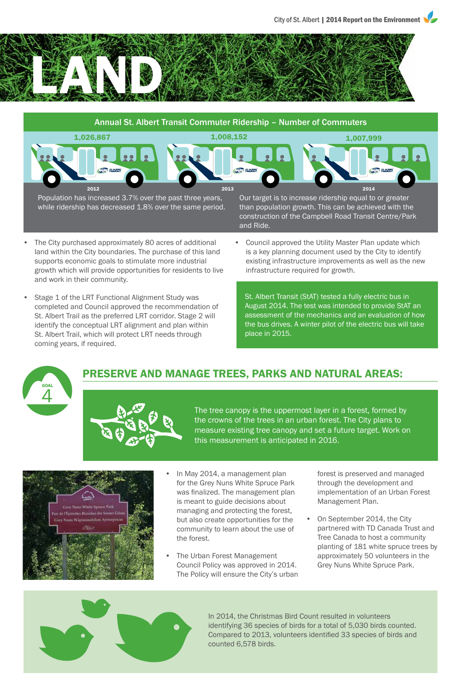



- land within the City boundaries. The purchase of this land supports economic goals to stimulate more industrial growth which will provide opportunities for residents to live and work in their community.
- Stage 1 of the LRT Functional Alignment Study was completed and Council approved the recommendation of St. Albert Trail as the preferred LRT corridor. Stage 2 will identify the conceptual LRT alignment and plan within St. Albert Trail, which will protect LRT needs through coming years, if required.

is a key planning document used by the City to identify existing infrastructure improvements as well as the new

infrastructure required for growth.

St. Albert Transit (StAT) tested a fully electric bus in August 2014. The test was intended to provide StAT an assessment of the mechanics and an evaluation of how the bus drives. A winter pilot of the electric bus will take place in 2015.



# PRESERVE AND MANAGE TREES, PARKS AND NATURAL AREAS:





- In May 2014, a management plan for the Grey Nuns White Spruce Park was finalized. The management plan is meant to guide decisions about managing and protecting the forest, but also create opportunities for the community to learn about the use of the forest.
- The Urban Forest Management Council Policy was approved in 2014. The Policy will ensure the City's urban

forest is preserved and managed through the development and implementation of an Urban Forest Management Plan.

• On September 2014, the City partnered with TD Canada Trust and Tree Canada to host a community planting of 181 white spruce trees by approximately 50 volunteers in the Grey Nuns White Spruce Park.



In 2014, the Christmas Bird Count resulted in volunteers identifying 36 species of birds for a total of 5,030 birds counted. Compared to 2013, volunteers identified 33 species of birds and counted 6,578 birds.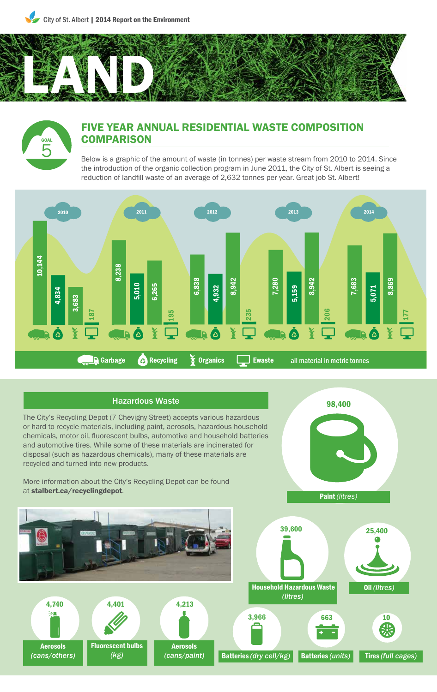City of St. Albert | 2014 Report on the Environment



# GOAL 5

## FIVE YEAR ANNUAL RESIDENTIAL WASTE COMPOSITION **COMPARISON**

Below is a graphic of the amount of waste (in tonnes) per waste stream from 2010 to 2014. Since the introduction of the organic collection program in June 2011, the City of St. Albert is seeing a reduction of landfill waste of an average of 2,632 tonnes per year. Great job St. Albert!



#### Hazardous Waste

The City's Recycling Depot (7 Chevigny Street) accepts various hazardous or hard to recycle materials, including paint, aerosols, hazardous household chemicals, motor oil, fluorescent bulbs, automotive and household batteries and automotive tires. While some of these materials are incinerated for disposal (such as hazardous chemicals), many of these materials are recycled and turned into new products.

More information about the City's Recycling Depot can be found







 Household Hazardous Waste *(litres)*



Oil *(litres)*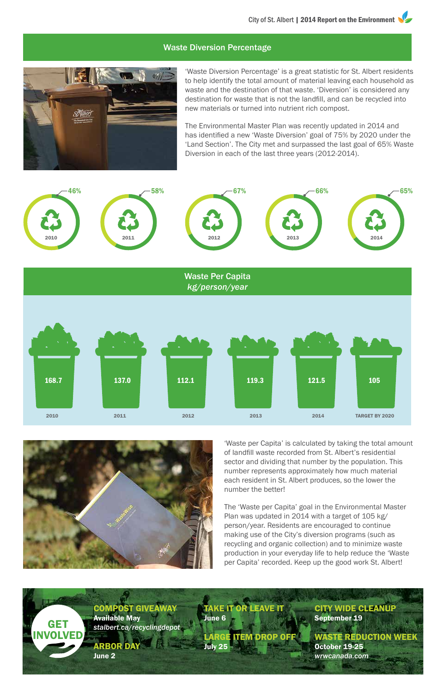#### Waste Diversion Percentage



'Waste Diversion Percentage' is a great statistic for St. Albert residents to help identify the total amount of material leaving each household as waste and the destination of that waste. 'Diversion' is considered any destination for waste that is not the landfill, and can be recycled into new materials or turned into nutrient rich compost.

The Environmental Master Plan was recently updated in 2014 and has identified a new 'Waste Diversion' goal of 75% by 2020 under the 'Land Section'. The City met and surpassed the last goal of 65% Waste Diversion in each of the last three years (2012-2014).





Available May

ARBOR DAY

June 2

GET INVOLVED

'Waste per Capita' is calculated by taking the total amount of landfill waste recorded from St. Albert's residential sector and dividing that number by the population. This number represents approximately how much material each resident in St. Albert produces, so the lower the number the better!

The 'Waste per Capita' goal in the Environmental Master Plan was updated in 2014 with a target of 105 kg/ person/year. Residents are encouraged to continue making use of the City's diversion programs (such as recycling and organic collection) and to minimize waste production in your everyday life to help reduce the 'Waste per Capita' recorded. Keep up the good work St. Albert!

COMPOST GIVEAWAY *stalbert.ca/recyclingdepot* TAKE IT OR LEAVE IT June 6 LARGE **ITEM DROP OFF** July 25 September 19 October 19-25

# CITY WIDE CLEANUP

WASTE REDUCTION WEEK *wrwcanada.com*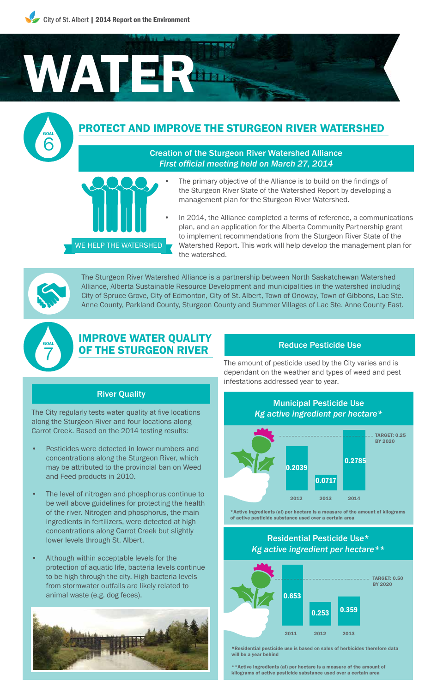

## PROTECT AND IMPROVE THE STURGEON RIVER WATERSHED

#### Creation of the Sturgeon River Watershed Alliance *First official meeting held on March 27, 2014*

- The primary objective of the Alliance is to build on the findings of the Sturgeon River State of the Watershed Report by developing a management plan for the Sturgeon River Watershed.
	- In 2014, the Alliance completed a terms of reference, a communications plan, and an application for the Alberta Community Partnership grant to implement recommendations from the Sturgeon River State of the Watershed Report. This work will help develop the management plan for the watershed.

GOAL 6

> The Sturgeon River Watershed Alliance is a partnership between North Saskatchewan Watershed Alliance, Alberta Sustainable Resource Development and municipalities in the watershed including City of Spruce Grove, City of Edmonton, City of St. Albert, Town of Onoway, Town of Gibbons, Lac Ste. Anne County, Parkland County, Sturgeon County and Summer Villages of Lac Ste. Anne County East.



### IMPROVE WATER QUALITY OF THE STURGEON RIVER

River Quality

WE HELP THE WATERSHED

The City regularly tests water quality at five locations along the Sturgeon River and four locations along Carrot Creek. Based on the 2014 testing results:

- Pesticides were detected in lower numbers and concentrations along the Sturgeon River, which may be attributed to the provincial ban on Weed and Feed products in 2010.
- The level of nitrogen and phosphorus continue to be well above guidelines for protecting the health of the river. Nitrogen and phosphorus, the main ingredients in fertilizers, were detected at high concentrations along Carrot Creek but slightly lower levels through St. Albert.
- Although within acceptable levels for the protection of aquatic life, bacteria levels continue to be high through the city. High bacteria levels from stormwater outfalls are likely related to animal waste (e.g. dog feces).



#### Reduce Pesticide Use

The amount of pesticide used by the City varies and is dependant on the weather and types of weed and pest infestations addressed year to year.





\*Residential pesticide use is based on sales of herbicides therefore data will be a year behind

\*\*Active ingredients (ai) per hectare is a measure of the amount of kilograms of active pesticide substance used over a certain area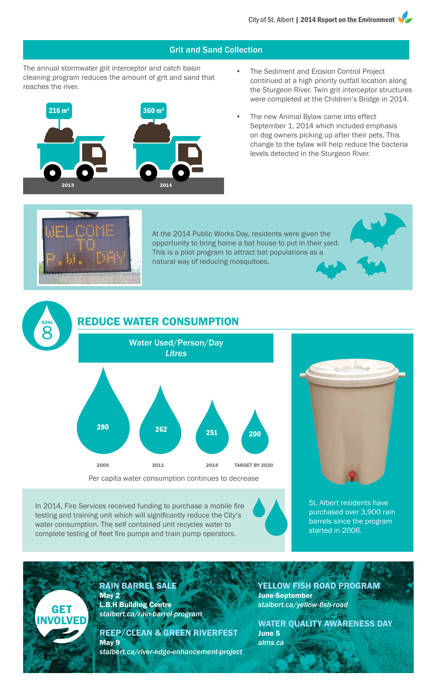#### Grit and Sand Collection

The annual stormwater grit interceptor and catch basin cleaning program reduces the amount of grit and sand that reaches the river.



- The Sediment and Erosion Control Project continued at a high priority outfall location along the Sturgeon River. Twin grit interceptor structures were completed at the Children's Bridge in 2014.
- The new Animal Bylaw came into effect September 1, 2014 which included emphasis on dog owners picking up after their pets. This change to the bylaw will help reduce the bacteria levels detected in the Sturgeon River.



GOAL 8

GET **INVOLVED**  At the 2014 Public Works Day, residents were given the opportunity to bring home a bat house to put in their yard. This is a pilot program to attract bat populations as a natural way of reducing mosquitoes.

## REDUCE WATER CONSUMPTION



In 2014, Fire Services received funding to purchase a mobile fire testing and training unit which will significantly reduce the City's water consumption. The self contained unit recycles water to complete testing of fleet fire pumps and train pump operators.



St. Albert residents have purchased over 3,900 rain barrels since the program started in 2006.

RAIN BARREL SALE May 2 L.B.H Building Centre *stalbert.ca/rain-barrel-program*

REEP/CLEAN & GREEN RIVERFEST May 9

*stalbert.ca/river-edge-enhancement-project*

YELLOW FISH ROAD PROGRAM June-September *stalbert.ca/yellow-fish-road*

WATER QUALITY AWARENESS DAY June 5 *alms.ca*